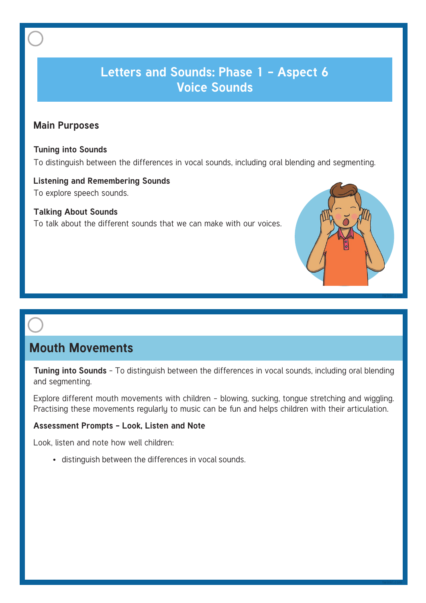## **Letters and Sounds: Phase 1 - Aspect 6 Voice Sounds**

### **Main Purposes**

### **Tuning into Sounds**

To distinguish between the differences in vocal sounds, including oral blending and segmenting.

**Listening and Remembering Sounds** To explore speech sounds.

### **Talking About Sounds** To talk about the different sounds that we can make with our voices.

### **Mouth Movements**

**Tuning into Sounds** - To distinguish between the differences in vocal sounds, including oral blending and segmenting.

**twinkl.com**

Explore different mouth movements with children – blowing, sucking, tongue stretching and wiggling. Practising these movements regularly to music can be fun and helps children with their articulation.

### **Assessment Prompts - Look, Listen and Note**

Look, listen and note how well children:

• distinguish between the differences in vocal sounds.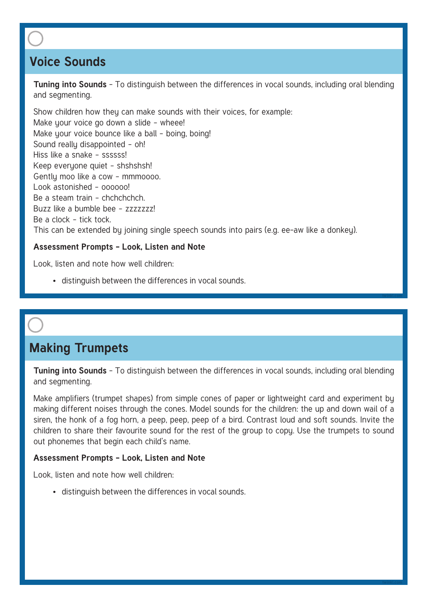# **Voice Sounds**

**Tuning into Sounds** - To distinguish between the differences in vocal sounds, including oral blending and segmenting.

Show children how they can make sounds with their voices, for example: Make your voice go down a slide - wheee! Make your voice bounce like a ball - boing, boing! Sound really disappointed – oh! Hiss like a snake – ssssss! Keep everyone quiet – shshshsh! Gently moo like a cow – mmmoooo. Look astonished – oooooo! Be a steam train – chchchchch. Buzz like a bumble bee – zzzzzzz! Be a clock – tick tock. This can be extended by joining single speech sounds into pairs (e.g. ee-aw like a donkey).

### **Assessment Prompts - Look, Listen and Note**

Look, listen and note how well children:

• distinguish between the differences in vocal sounds.

### **Making Trumpets**

**Tuning into Sounds** - To distinguish between the differences in vocal sounds, including oral blending and segmenting.

**twinkl.com**

Make amplifiers (trumpet shapes) from simple cones of paper or lightweight card and experiment by making different noises through the cones. Model sounds for the children: the up and down wail of a siren, the honk of a fog horn, a peep, peep, peep of a bird. Contrast loud and soft sounds. Invite the children to share their favourite sound for the rest of the group to copy. Use the trumpets to sound out phonemes that begin each child's name.

### **Assessment Prompts - Look, Listen and Note**

Look, listen and note how well children:

• distinguish between the differences in vocal sounds.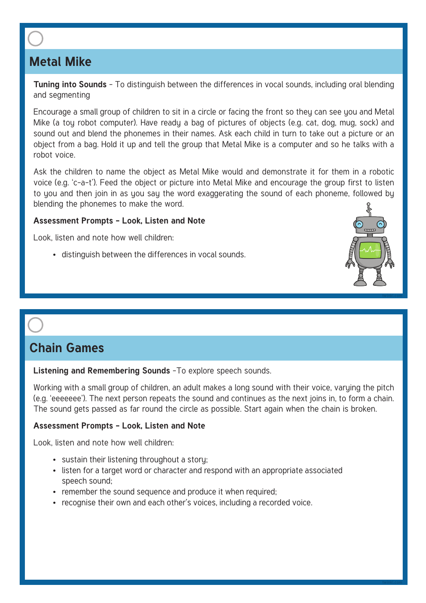# **Metal Mike**

**Tuning into Sounds** - To distinguish between the differences in vocal sounds, including oral blending and segmenting

Encourage a small group of children to sit in a circle or facing the front so they can see you and Metal Mike (a toy robot computer). Have ready a bag of pictures of objects (e.g. cat, dog, mug, sock) and sound out and blend the phonemes in their names. Ask each child in turn to take out a picture or an object from a bag. Hold it up and tell the group that Metal Mike is a computer and so he talks with a robot voice.

Ask the children to name the object as Metal Mike would and demonstrate it for them in a robotic voice (e.g. 'c-a-t'). Feed the object or picture into Metal Mike and encourage the group first to listen to you and then join in as you say the word exaggerating the sound of each phoneme, followed by blending the phonemes to make the word.

### **Assessment Prompts - Look, Listen and Note**

Look, listen and note how well children:

• distinguish between the differences in vocal sounds.



**twinkl.com**

# **Chain Games**

**Listening and Remembering Sounds** -To explore speech sounds.

Working with a small group of children, an adult makes a long sound with their voice, varying the pitch (e.g. 'eeeeeee'). The next person repeats the sound and continues as the next joins in, to form a chain. The sound gets passed as far round the circle as possible. Start again when the chain is broken.

### **Assessment Prompts - Look, Listen and Note**

Look, listen and note how well children:

- sustain their listening throughout a story;
- listen for a target word or character and respond with an appropriate associated speech sound;
- remember the sound sequence and produce it when required;
- recognise their own and each other's voices, including a recorded voice.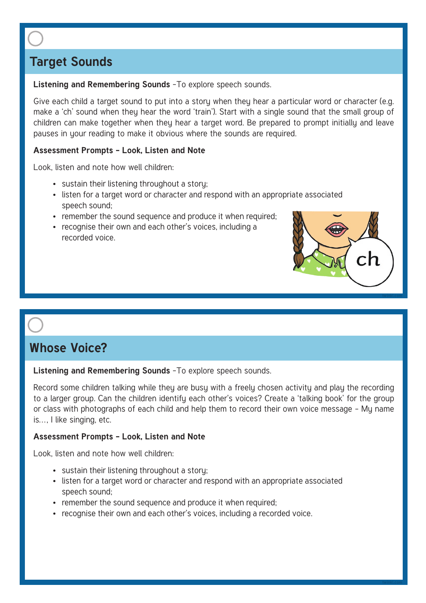# **Target Sounds**

### **Listening and Remembering Sounds** -To explore speech sounds.

Give each child a target sound to put into a story when they hear a particular word or character (e.g. make a 'ch' sound when they hear the word 'train'). Start with a single sound that the small group of children can make together when they hear a target word. Be prepared to prompt initially and leave pauses in your reading to make it obvious where the sounds are required.

### **Assessment Prompts - Look, Listen and Note**

Look, listen and note how well children:

- sustain their listening throughout a story;
- listen for a target word or character and respond with an appropriate associated speech sound;
- remember the sound sequence and produce it when required;
- recognise their own and each other's voices, including a recorded voice.



**twinkl.com**

## **Whose Voice?**

**Listening and Remembering Sounds** -To explore speech sounds.

Record some children talking while they are busy with a freely chosen activity and play the recording to a larger group. Can the children identify each other's voices? Create a 'talking book' for the group or class with photographs of each child and help them to record their own voice message – My name is…, I like singing, etc.

### **Assessment Prompts - Look, Listen and Note**

Look, listen and note how well children:

- sustain their listening throughout a story;
- listen for a target word or character and respond with an appropriate associated speech sound;
- remember the sound sequence and produce it when required;
- recognise their own and each other's voices, including a recorded voice.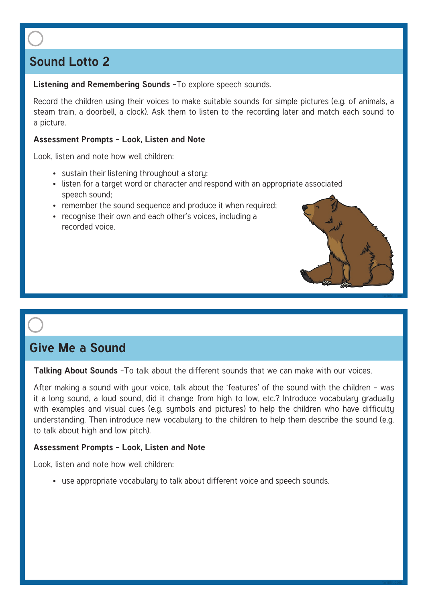# **Sound Lotto 2**

### **Listening and Remembering Sounds** -To explore speech sounds.

Record the children using their voices to make suitable sounds for simple pictures (e.g. of animals, a steam train, a doorbell, a clock). Ask them to listen to the recording later and match each sound to a picture.

#### **Assessment Prompts - Look, Listen and Note**

Look, listen and note how well children:

- sustain their listening throughout a story;
- listen for a target word or character and respond with an appropriate associated speech sound;
- remember the sound sequence and produce it when required;
- recognise their own and each other's voices, including a recorded voice.



**Talking About Sounds** -To talk about the different sounds that we can make with our voices.

After making a sound with your voice, talk about the 'features' of the sound with the children – was it a long sound, a loud sound, did it change from high to low, etc.? Introduce vocabularu graduallu with examples and visual cues (e.g. symbols and pictures) to help the children who have difficulty understanding. Then introduce new vocabulary to the children to help them describe the sound (e.g. to talk about high and low pitch).

### **Assessment Prompts - Look, Listen and Note**

Look, listen and note how well children:

• use appropriate vocabulary to talk about different voice and speech sounds.



**twinkl.com**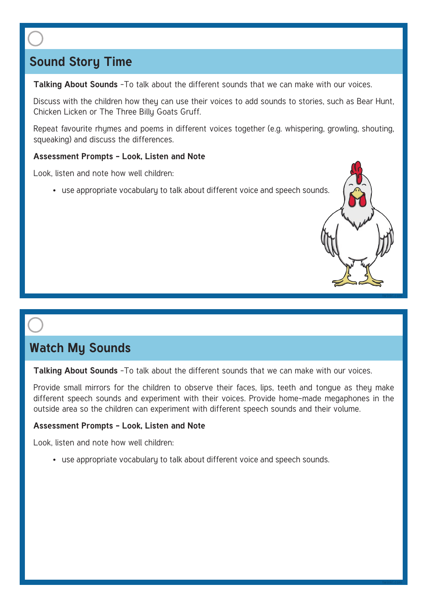# **Sound Story Time**

**Talking About Sounds** -To talk about the different sounds that we can make with our voices.

Discuss with the children how they can use their voices to add sounds to stories, such as Bear Hunt, Chicken Licken or The Three Billy Goats Gruff.

Repeat favourite rhymes and poems in different voices together (e.g. whispering, growling, shouting, squeaking) and discuss the differences.

### **Assessment Prompts - Look, Listen and Note**

Look, listen and note how well children:

• use appropriate vocabulary to talk about different voice and speech sounds.

## **Watch My Sounds**

**Talking About Sounds** -To talk about the different sounds that we can make with our voices.

Provide small mirrors for the children to observe their faces, lips, teeth and tongue as they make different speech sounds and experiment with their voices. Provide home-made megaphones in the outside area so the children can experiment with different speech sounds and their volume.

**twinkl.com**

### **Assessment Prompts - Look, Listen and Note**

Look, listen and note how well children:

• use appropriate vocabulary to talk about different voice and speech sounds.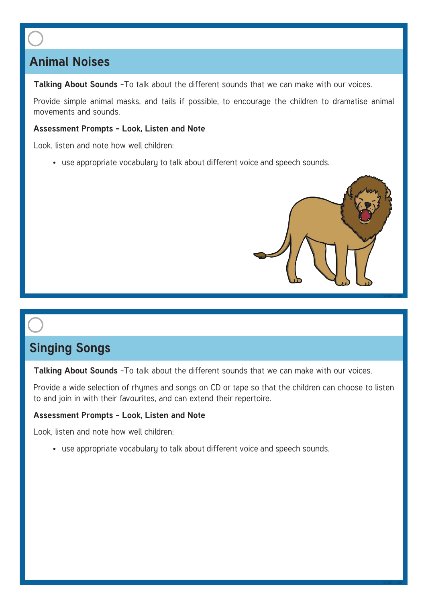# **Animal Noises**

**Talking About Sounds** -To talk about the different sounds that we can make with our voices.

Provide simple animal masks, and tails if possible, to encourage the children to dramatise animal movements and sounds.

### **Assessment Prompts - Look, Listen and Note**

Look, listen and note how well children:

• use appropriate vocabulary to talk about different voice and speech sounds.



# **Singing Songs**

**Talking About Sounds** -To talk about the different sounds that we can make with our voices.

Provide a wide selection of rhymes and songs on CD or tape so that the children can choose to listen to and join in with their favourites, and can extend their repertoire.

### **Assessment Prompts - Look, Listen and Note**

Look, listen and note how well children:

• use appropriate vocabulary to talk about different voice and speech sounds.